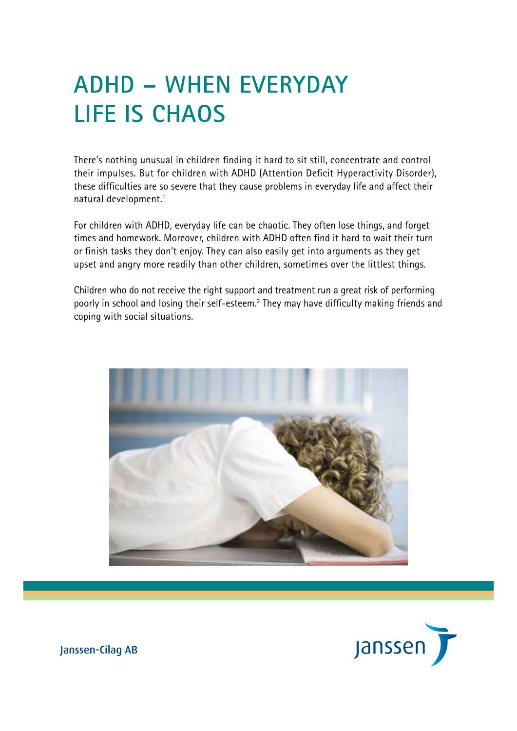# **ADHD – WHEN EVERYDAY LIFE IS CHAOS**

There's nothing unusual in children finding it hard to sit still, concentrate and control their impulses. But for children with ADHD (Attention Deficit Hyperactivity Disorder), these difficulties are so severe that they cause problems in everyday life and affect their natural development.1

For children with ADHD, everyday life can be chaotic. They often lose things, and forget times and homework. Moreover, children with ADHD often find it hard to wait their turn or finish tasks they don't enjoy. They can also easily get into arguments as they get upset and angry more readily than other children, sometimes over the littlest things.

Children who do not receive the right support and treatment run a great risk of performing poorly in school and losing their self-esteem.<sup>2</sup> They may have difficulty making friends and coping with social situations.



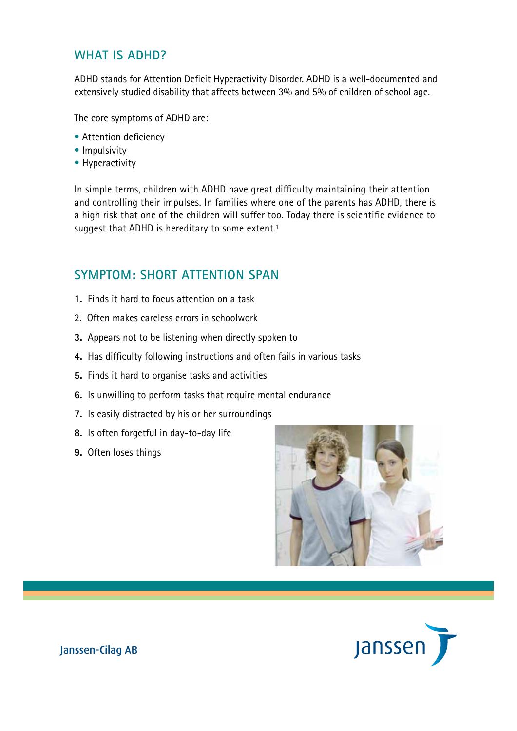#### **What is ADHD?**

ADHD stands for Attention Deficit Hyperactivity Disorder. ADHD is a well-documented and extensively studied disability that affects between 3% and 5% of children of school age.

The core symptoms of ADHD are:

- Attention deficiency
- Impulsivity
- Hyperactivity

In simple terms, children with ADHD have great difficulty maintaining their attention and controlling their impulses. In families where one of the parents has ADHD, there is a high risk that one of the children will suffer too. Today there is scientific evidence to suggest that ADHD is hereditary to some extent.<sup>1</sup>

#### **Symptom: Short attention span**

- **1.** Finds it hard to focus attention on a task
- 2. Often makes careless errors in schoolwork
- **3.** Appears not to be listening when directly spoken to
- **4.** Has difficulty following instructions and often fails in various tasks
- **5.** Finds it hard to organise tasks and activities
- **6.** Is unwilling to perform tasks that require mental endurance
- **7.** Is easily distracted by his or her surroundings
- **8.** Is often forgetful in day-to-day life
- **9.** Often loses things



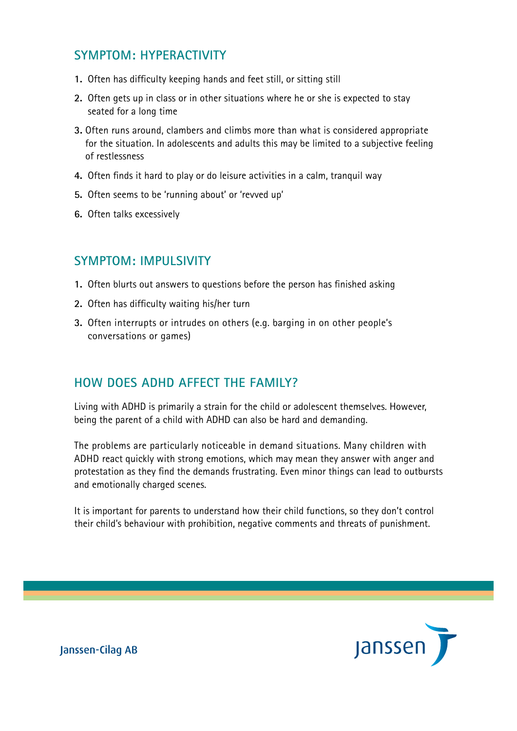### **Symptom: Hyperactivity**

- **1.** Often has difficulty keeping hands and feet still, or sitting still
- **2.** Often gets up in class or in other situations where he or she is expected to stay seated for a long time
- **3.** Often runs around, clambers and climbs more than what is considered appropriate for the situation. In adolescents and adults this may be limited to a subjective feeling of restlessness
- **4.** Often finds it hard to play or do leisure activities in a calm, tranquil way
- **5.** Often seems to be 'running about' or 'revved up'
- **6.** Often talks excessively

#### **Symptom: Impulsivity**

- **1.** Often blurts out answers to questions before the person has finished asking
- **2.** Often has difficulty waiting his/her turn
- **3.** Often interrupts or intrudes on others (e.g. barging in on other people's conversations or games)

### **How does ADHD affect the family?**

Living with ADHD is primarily a strain for the child or adolescent themselves. However, being the parent of a child with ADHD can also be hard and demanding.

The problems are particularly noticeable in demand situations. Many children with ADHD react quickly with strong emotions, which may mean they answer with anger and protestation as they find the demands frustrating. Even minor things can lead to outbursts and emotionally charged scenes.

It is important for parents to understand how their child functions, so they don't control their child's behaviour with prohibition, negative comments and threats of punishment.

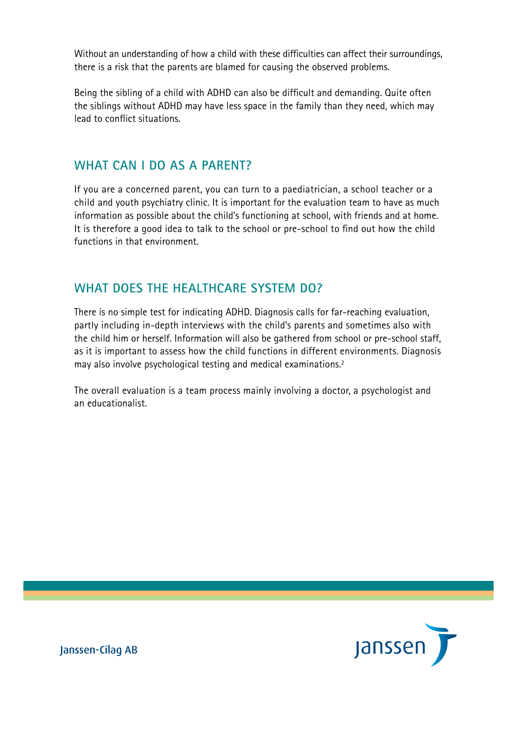Without an understanding of how a child with these difficulties can affect their surroundings, there is a risk that the parents are blamed for causing the observed problems.

Being the sibling of a child with ADHD can also be difficult and demanding. Quite often the siblings without ADHD may have less space in the family than they need, which may lead to conflict situations.

#### **What can I do as a parent?**

If you are a concerned parent, you can turn to a paediatrician, a school teacher or a child and youth psychiatry clinic. It is important for the evaluation team to have as much information as possible about the child's functioning at school, with friends and at home. It is therefore a good idea to talk to the school or pre-school to find out how the child functions in that environment.

### **What does the healthcare system do?**

There is no simple test for indicating ADHD. Diagnosis calls for far-reaching evaluation, partly including in-depth interviews with the child's parents and sometimes also with the child him or herself. Information will also be gathered from school or pre-school staff, as it is important to assess how the child functions in different environments. Diagnosis may also involve psychological testing and medical examinations.2

The overall evaluation is a team process mainly involving a doctor, a psychologist and an educationalist.